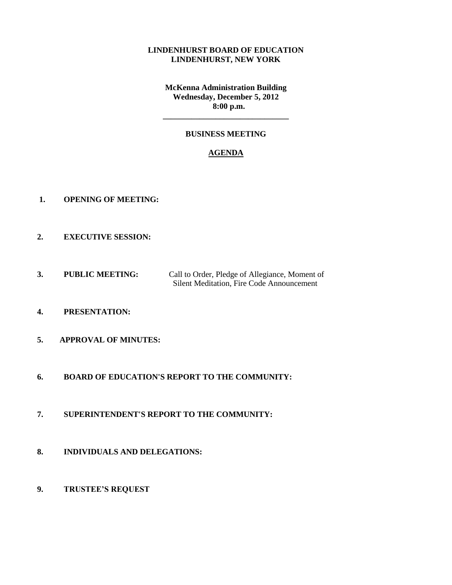## **LINDENHURST BOARD OF EDUCATION LINDENHURST, NEW YORK**

**McKenna Administration Building Wednesday, December 5, 2012 8:00 p.m.**

# **BUSINESS MEETING**

**\_\_\_\_\_\_\_\_\_\_\_\_\_\_\_\_\_\_\_\_\_\_\_\_\_\_\_\_\_\_\_**

## **AGENDA**

- **1. OPENING OF MEETING:**
- **2. EXECUTIVE SESSION:**
- **3. PUBLIC MEETING:** Call to Order, Pledge of Allegiance, Moment of Silent Meditation, Fire Code Announcement
- **4. PRESENTATION:**
- **5. APPROVAL OF MINUTES:**
- **6. BOARD OF EDUCATION'S REPORT TO THE COMMUNITY:**
- **7. SUPERINTENDENT'S REPORT TO THE COMMUNITY:**
- **8. INDIVIDUALS AND DELEGATIONS:**
- **9. TRUSTEE'S REQUEST**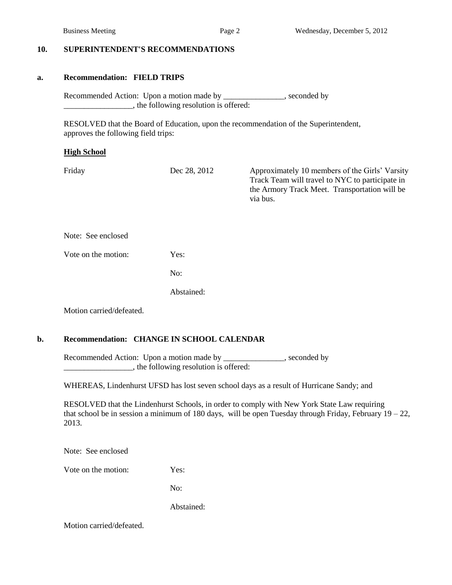### **10. SUPERINTENDENT'S RECOMMENDATIONS**

#### **a. Recommendation: FIELD TRIPS**

Recommended Action: Upon a motion made by \_\_\_\_\_\_\_\_\_\_\_\_\_, seconded by \_\_\_\_\_\_\_\_\_\_\_\_\_\_\_\_\_, the following resolution is offered:

 RESOLVED that the Board of Education, upon the recommendation of the Superintendent, approves the following field trips:

#### **High School**

Friday Dec 28, 2012 Approximately 10 members of the Girls' Varsity Track Team will travel to NYC to participate in the Armory Track Meet. Transportation will be via bus.

Note: See enclosed

Vote on the motion: Yes:

No:

Abstained:

Motion carried/defeated.

## **b. Recommendation: CHANGE IN SCHOOL CALENDAR**

Recommended Action: Upon a motion made by \_\_\_\_\_\_\_\_\_\_\_\_\_, seconded by \_\_\_\_\_\_\_\_\_\_\_\_\_\_\_\_\_, the following resolution is offered:

WHEREAS, Lindenhurst UFSD has lost seven school days as a result of Hurricane Sandy; and

RESOLVED that the Lindenhurst Schools, in order to comply with New York State Law requiring that school be in session a minimum of 180 days, will be open Tuesday through Friday, February  $19 - 22$ , 2013.

Note: See enclosed

Vote on the motion: Yes:

No:

Abstained: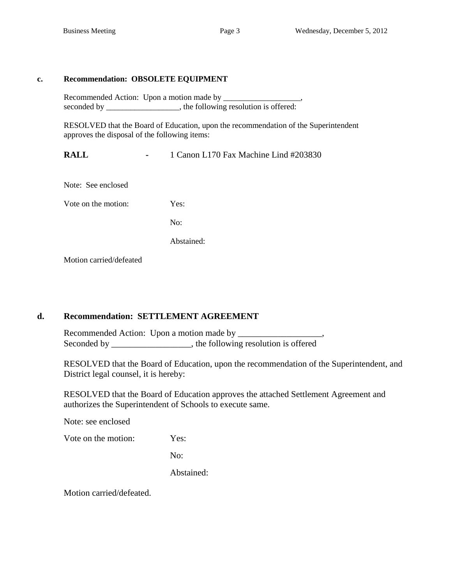# **c. Recommendation: OBSOLETE EQUIPMENT**

Recommended Action: Upon a motion made by \_\_\_\_\_\_\_\_\_\_\_\_\_\_\_\_\_\_\_, seconded by \_\_\_\_\_\_\_\_\_\_\_\_\_\_, the following resolution is offered:

RESOLVED that the Board of Education, upon the recommendation of the Superintendent approves the disposal of the following items:

**RALL -** 1 Canon L170 Fax Machine Lind #203830

Note: See enclosed

Vote on the motion: Yes:

No:

Abstained:

Motion carried/defeated

# **d. Recommendation: SETTLEMENT AGREEMENT**

Recommended Action: Upon a motion made by \_\_\_\_\_\_\_\_\_\_\_\_\_\_\_\_\_\_\_, Seconded by \_\_\_\_\_\_\_\_\_\_\_\_\_\_\_, the following resolution is offered

RESOLVED that the Board of Education, upon the recommendation of the Superintendent, and District legal counsel, it is hereby:

RESOLVED that the Board of Education approves the attached Settlement Agreement and authorizes the Superintendent of Schools to execute same.

Note: see enclosed

Vote on the motion: Yes:

No:

Abstained: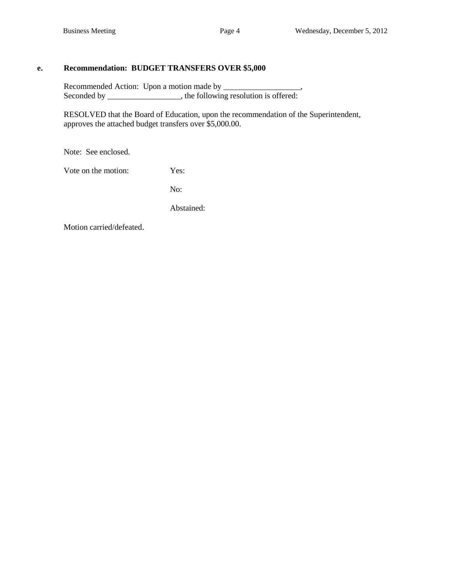## **e. Recommendation: BUDGET TRANSFERS OVER \$5,000**

Recommended Action: Upon a motion made by \_\_\_\_\_\_\_\_\_\_\_\_\_\_\_\_\_\_\_, Seconded by \_\_\_\_\_\_\_\_\_\_\_\_\_\_, the following resolution is offered:

RESOLVED that the Board of Education, upon the recommendation of the Superintendent, approves the attached budget transfers over \$5,000.00.

Note: See enclosed.

Vote on the motion: Yes:

No:

Abstained: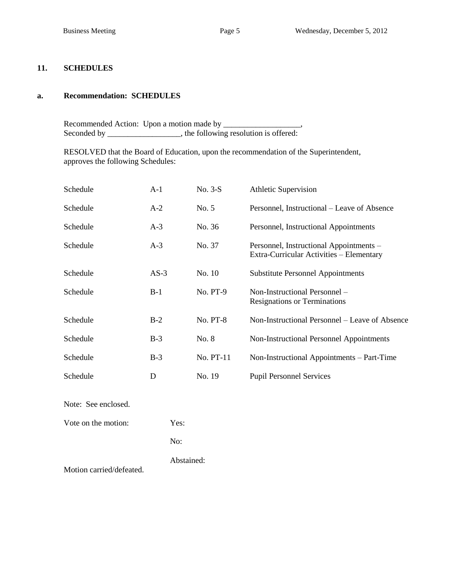#### **11. SCHEDULES**

#### **a. Recommendation: SCHEDULES**

Recommended Action: Upon a motion made by \_\_\_\_\_\_\_\_\_\_\_\_\_\_\_\_\_\_\_, Seconded by \_\_\_\_\_\_\_\_\_\_\_\_\_\_\_, the following resolution is offered:

RESOLVED that the Board of Education, upon the recommendation of the Superintendent, approves the following Schedules:

| Schedule | $A-1$  | No. 3-S         | <b>Athletic Supervision</b>                                                         |
|----------|--------|-----------------|-------------------------------------------------------------------------------------|
| Schedule | $A-2$  | No. 5           | Personnel, Instructional – Leave of Absence                                         |
| Schedule | $A-3$  | No. 36          | Personnel, Instructional Appointments                                               |
| Schedule | $A-3$  | No. 37          | Personnel, Instructional Appointments -<br>Extra-Curricular Activities – Elementary |
| Schedule | $AS-3$ | No. 10          | <b>Substitute Personnel Appointments</b>                                            |
| Schedule | $B-1$  | No. PT-9        | Non-Instructional Personnel –<br><b>Resignations or Terminations</b>                |
| Schedule | $B-2$  | <b>No. PT-8</b> | Non-Instructional Personnel – Leave of Absence                                      |
| Schedule | $B-3$  | No. 8           | Non-Instructional Personnel Appointments                                            |
| Schedule | $B-3$  | No. PT-11       | Non-Instructional Appointments – Part-Time                                          |
| Schedule | D      | No. 19          | <b>Pupil Personnel Services</b>                                                     |
|          |        |                 |                                                                                     |

Note: See enclosed.

Vote on the motion: Yes:

No:

Abstained: